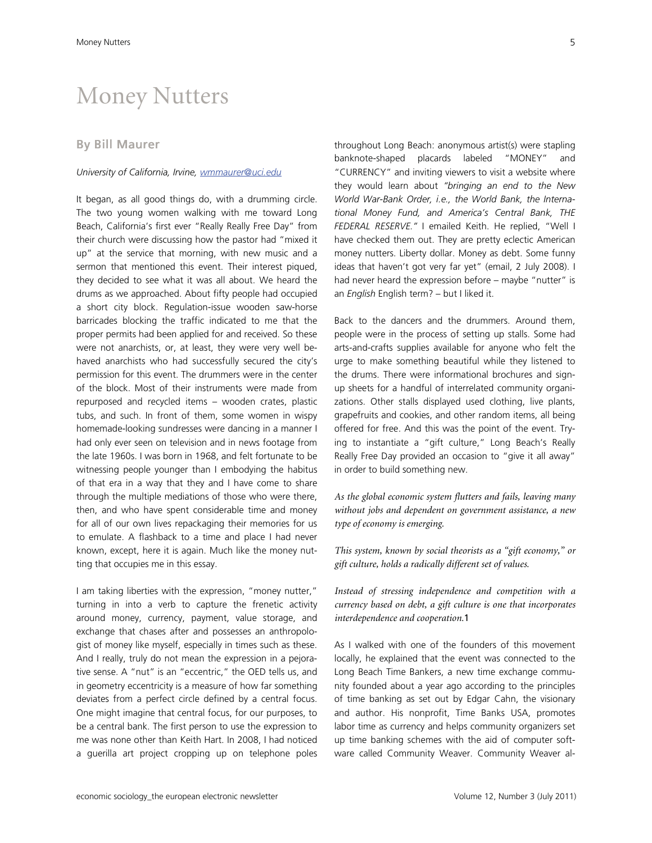# Money Nutters

## **By Bill Maurer**

#### *University of California, Irvine, wmmaurer@uci.edu*

It began, as all good things do, with a drumming circle. The two young women walking with me toward Long Beach, California's first ever "Really Really Free Day" from their church were discussing how the pastor had "mixed it up" at the service that morning, with new music and a sermon that mentioned this event. Their interest piqued, they decided to see what it was all about. We heard the drums as we approached. About fifty people had occupied a short city block. Regulation-issue wooden saw-horse barricades blocking the traffic indicated to me that the proper permits had been applied for and received. So these were not anarchists, or, at least, they were very well behaved anarchists who had successfully secured the city's permission for this event. The drummers were in the center of the block. Most of their instruments were made from repurposed and recycled items – wooden crates, plastic tubs, and such. In front of them, some women in wispy homemade-looking sundresses were dancing in a manner I had only ever seen on television and in news footage from the late 1960s. I was born in 1968, and felt fortunate to be witnessing people younger than I embodying the habitus of that era in a way that they and I have come to share through the multiple mediations of those who were there, then, and who have spent considerable time and money for all of our own lives repackaging their memories for us to emulate. A flashback to a time and place I had never known, except, here it is again. Much like the money nutting that occupies me in this essay.

I am taking liberties with the expression, "money nutter," turning in into a verb to capture the frenetic activity around money, currency, payment, value storage, and exchange that chases after and possesses an anthropologist of money like myself, especially in times such as these. And I really, truly do not mean the expression in a pejorative sense. A "nut" is an "eccentric," the OED tells us, and in geometry eccentricity is a measure of how far something deviates from a perfect circle defined by a central focus. One might imagine that central focus, for our purposes, to be a central bank. The first person to use the expression to me was none other than Keith Hart. In 2008, I had noticed a guerilla art project cropping up on telephone poles

throughout Long Beach: anonymous artist(s) were stapling banknote-shaped placards labeled "MONEY" and "CURRENCY" and inviting viewers to visit a website where they would learn about *"bringing an end to the New World War-Bank Order, i.e., the World Bank, the International Money Fund, and America's Central Bank, THE FEDERAL RESERVE."* I emailed Keith. He replied, "Well I have checked them out. They are pretty eclectic American money nutters. Liberty dollar. Money as debt. Some funny ideas that haven't got very far yet" (email, 2 July 2008). I had never heard the expression before – maybe "nutter" is an *English* English term? – but I liked it.

Back to the dancers and the drummers. Around them, people were in the process of setting up stalls. Some had arts-and-crafts supplies available for anyone who felt the urge to make something beautiful while they listened to the drums. There were informational brochures and signup sheets for a handful of interrelated community organizations. Other stalls displayed used clothing, live plants, grapefruits and cookies, and other random items, all being offered for free. And this was the point of the event. Trying to instantiate a "gift culture," Long Beach's Really Really Free Day provided an occasion to "give it all away" in order to build something new.

*As the global economic system flutters and fails, leaving many without jobs and dependent on government assistance, a new type of economy is emerging.* 

*This system, known by social theorists as a "gift economy," or gift culture, holds a radically different set of values.* 

*Instead of stressing independence and competition with a currency based on debt, a gift culture is one that incorporates interdependence and cooperation.*1

As I walked with one of the founders of this movement locally, he explained that the event was connected to the Long Beach Time Bankers, a new time exchange community founded about a year ago according to the principles of time banking as set out by Edgar Cahn, the visionary and author. His nonprofit, Time Banks USA, promotes labor time as currency and helps community organizers set up time banking schemes with the aid of computer software called Community Weaver. Community Weaver al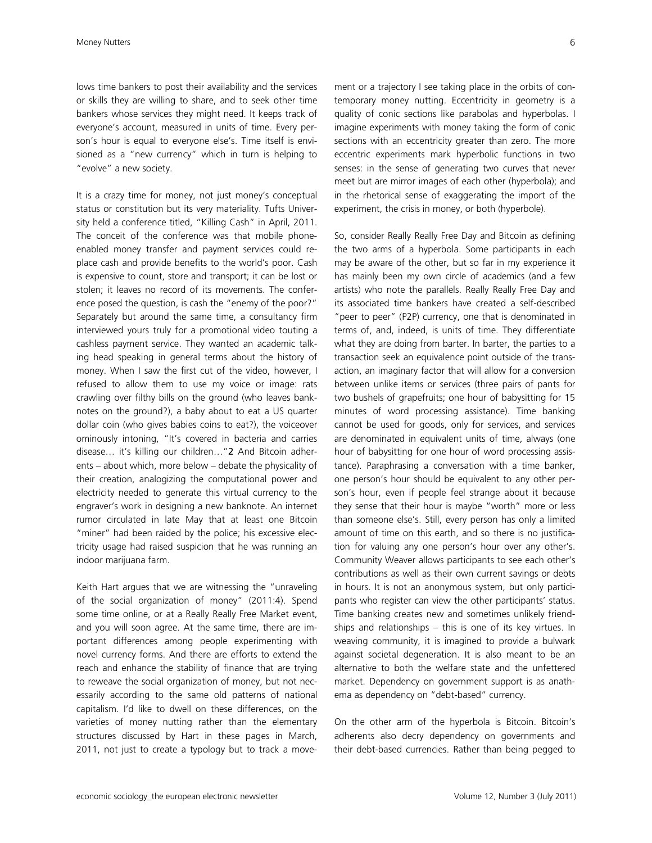lows time bankers to post their availability and the services or skills they are willing to share, and to seek other time bankers whose services they might need. It keeps track of everyone's account, measured in units of time. Every person's hour is equal to everyone else's. Time itself is envisioned as a "new currency" which in turn is helping to "evolve" a new society.

It is a crazy time for money, not just money's conceptual status or constitution but its very materiality. Tufts University held a conference titled, "Killing Cash" in April, 2011. The conceit of the conference was that mobile phoneenabled money transfer and payment services could replace cash and provide benefits to the world's poor. Cash is expensive to count, store and transport; it can be lost or stolen; it leaves no record of its movements. The conference posed the question, is cash the "enemy of the poor?" Separately but around the same time, a consultancy firm interviewed yours truly for a promotional video touting a cashless payment service. They wanted an academic talking head speaking in general terms about the history of money. When I saw the first cut of the video, however, I refused to allow them to use my voice or image: rats crawling over filthy bills on the ground (who leaves banknotes on the ground?), a baby about to eat a US quarter dollar coin (who gives babies coins to eat?), the voiceover ominously intoning, "It's covered in bacteria and carries disease… it's killing our children…"2 And Bitcoin adherents – about which, more below – debate the physicality of their creation, analogizing the computational power and electricity needed to generate this virtual currency to the engraver's work in designing a new banknote. An internet rumor circulated in late May that at least one Bitcoin "miner" had been raided by the police; his excessive electricity usage had raised suspicion that he was running an indoor marijuana farm.

Keith Hart argues that we are witnessing the "unraveling of the social organization of money" (2011:4). Spend some time online, or at a Really Really Free Market event, and you will soon agree. At the same time, there are important differences among people experimenting with novel currency forms. And there are efforts to extend the reach and enhance the stability of finance that are trying to reweave the social organization of money, but not necessarily according to the same old patterns of national capitalism. I'd like to dwell on these differences, on the varieties of money nutting rather than the elementary structures discussed by Hart in these pages in March, 2011, not just to create a typology but to track a movement or a trajectory I see taking place in the orbits of contemporary money nutting. Eccentricity in geometry is a quality of conic sections like parabolas and hyperbolas. I imagine experiments with money taking the form of conic sections with an eccentricity greater than zero. The more eccentric experiments mark hyperbolic functions in two senses: in the sense of generating two curves that never meet but are mirror images of each other (hyperbola); and in the rhetorical sense of exaggerating the import of the experiment, the crisis in money, or both (hyperbole).

So, consider Really Really Free Day and Bitcoin as defining the two arms of a hyperbola. Some participants in each may be aware of the other, but so far in my experience it has mainly been my own circle of academics (and a few artists) who note the parallels. Really Really Free Day and its associated time bankers have created a self-described "peer to peer" (P2P) currency, one that is denominated in terms of, and, indeed, is units of time. They differentiate what they are doing from barter. In barter, the parties to a transaction seek an equivalence point outside of the transaction, an imaginary factor that will allow for a conversion between unlike items or services (three pairs of pants for two bushels of grapefruits; one hour of babysitting for 15 minutes of word processing assistance). Time banking cannot be used for goods, only for services, and services are denominated in equivalent units of time, always (one hour of babysitting for one hour of word processing assistance). Paraphrasing a conversation with a time banker, one person's hour should be equivalent to any other person's hour, even if people feel strange about it because they sense that their hour is maybe "worth" more or less than someone else's. Still, every person has only a limited amount of time on this earth, and so there is no justification for valuing any one person's hour over any other's. Community Weaver allows participants to see each other's contributions as well as their own current savings or debts in hours. It is not an anonymous system, but only participants who register can view the other participants' status. Time banking creates new and sometimes unlikely friendships and relationships – this is one of its key virtues. In weaving community, it is imagined to provide a bulwark against societal degeneration. It is also meant to be an alternative to both the welfare state and the unfettered market. Dependency on government support is as anathema as dependency on "debt-based" currency.

On the other arm of the hyperbola is Bitcoin. Bitcoin's adherents also decry dependency on governments and their debt-based currencies. Rather than being pegged to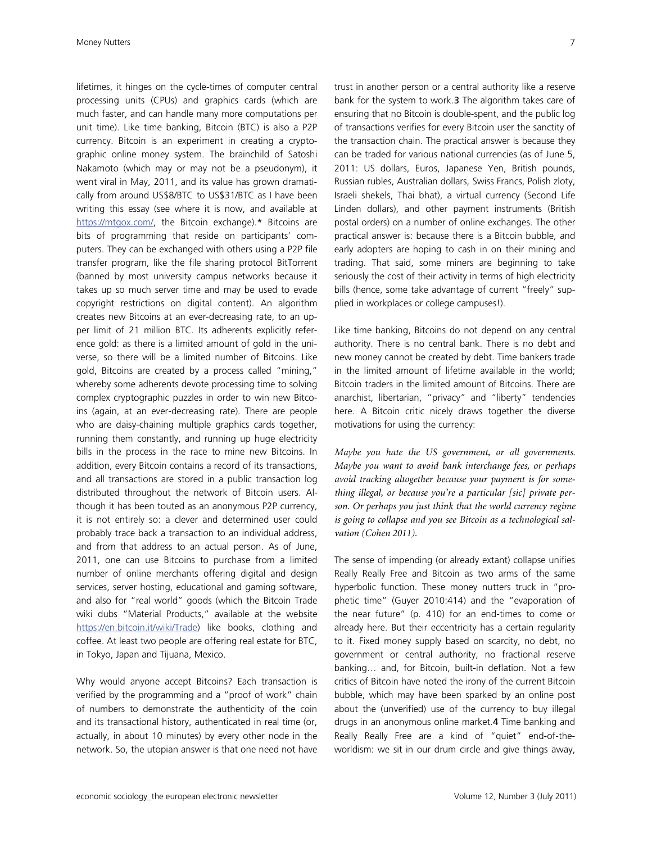lifetimes, it hinges on the cycle-times of computer central processing units (CPUs) and graphics cards (which are much faster, and can handle many more computations per unit time). Like time banking, Bitcoin (BTC) is also a P2P currency. Bitcoin is an experiment in creating a cryptographic online money system. The brainchild of Satoshi Nakamoto (which may or may not be a pseudonym), it went viral in May, 2011, and its value has grown dramatically from around US\$8/BTC to US\$31/BTC as I have been writing this essay (see where it is now, and available at https://mtgox.com/, the Bitcoin exchange).\* Bitcoins are bits of programming that reside on participants' computers. They can be exchanged with others using a P2P file transfer program, like the file sharing protocol BitTorrent (banned by most university campus networks because it takes up so much server time and may be used to evade copyright restrictions on digital content). An algorithm creates new Bitcoins at an ever-decreasing rate, to an upper limit of 21 million BTC. Its adherents explicitly reference gold: as there is a limited amount of gold in the universe, so there will be a limited number of Bitcoins. Like gold, Bitcoins are created by a process called "mining," whereby some adherents devote processing time to solving complex cryptographic puzzles in order to win new Bitcoins (again, at an ever-decreasing rate). There are people who are daisy-chaining multiple graphics cards together, running them constantly, and running up huge electricity bills in the process in the race to mine new Bitcoins. In addition, every Bitcoin contains a record of its transactions, and all transactions are stored in a public transaction log distributed throughout the network of Bitcoin users. Although it has been touted as an anonymous P2P currency, it is not entirely so: a clever and determined user could probably trace back a transaction to an individual address, and from that address to an actual person. As of June, 2011, one can use Bitcoins to purchase from a limited number of online merchants offering digital and design services, server hosting, educational and gaming software, and also for "real world" goods (which the Bitcoin Trade wiki dubs "Material Products," available at the website https://en.bitcoin.it/wiki/Trade) like books, clothing and coffee. At least two people are offering real estate for BTC, in Tokyo, Japan and Tijuana, Mexico.

Why would anyone accept Bitcoins? Each transaction is verified by the programming and a "proof of work" chain of numbers to demonstrate the authenticity of the coin and its transactional history, authenticated in real time (or, actually, in about 10 minutes) by every other node in the network. So, the utopian answer is that one need not have trust in another person or a central authority like a reserve bank for the system to work.3 The algorithm takes care of ensuring that no Bitcoin is double-spent, and the public log of transactions verifies for every Bitcoin user the sanctity of the transaction chain. The practical answer is because they can be traded for various national currencies (as of June 5, 2011: US dollars, Euros, Japanese Yen, British pounds, Russian rubles, Australian dollars, Swiss Francs, Polish zloty, Israeli shekels, Thai bhat), a virtual currency (Second Life Linden dollars), and other payment instruments (British postal orders) on a number of online exchanges. The other practical answer is: because there is a Bitcoin bubble, and early adopters are hoping to cash in on their mining and trading. That said, some miners are beginning to take seriously the cost of their activity in terms of high electricity bills (hence, some take advantage of current "freely" supplied in workplaces or college campuses!).

Like time banking, Bitcoins do not depend on any central authority. There is no central bank. There is no debt and new money cannot be created by debt. Time bankers trade in the limited amount of lifetime available in the world; Bitcoin traders in the limited amount of Bitcoins. There are anarchist, libertarian, "privacy" and "liberty" tendencies here. A Bitcoin critic nicely draws together the diverse motivations for using the currency:

*Maybe you hate the US government, or all governments. Maybe you want to avoid bank interchange fees, or perhaps avoid tracking altogether because your payment is for something illegal, or because you're a particular [sic] private person. Or perhaps you just think that the world currency regime is going to collapse and you see Bitcoin as a technological salvation (Cohen 2011).* 

The sense of impending (or already extant) collapse unifies Really Really Free and Bitcoin as two arms of the same hyperbolic function. These money nutters truck in "prophetic time" (Guyer 2010:414) and the "evaporation of the near future" (p. 410) for an end-times to come or already here. But their eccentricity has a certain regularity to it. Fixed money supply based on scarcity, no debt, no government or central authority, no fractional reserve banking… and, for Bitcoin, built-in deflation. Not a few critics of Bitcoin have noted the irony of the current Bitcoin bubble, which may have been sparked by an online post about the (unverified) use of the currency to buy illegal drugs in an anonymous online market.4 Time banking and Really Really Free are a kind of "quiet" end-of-theworldism: we sit in our drum circle and give things away,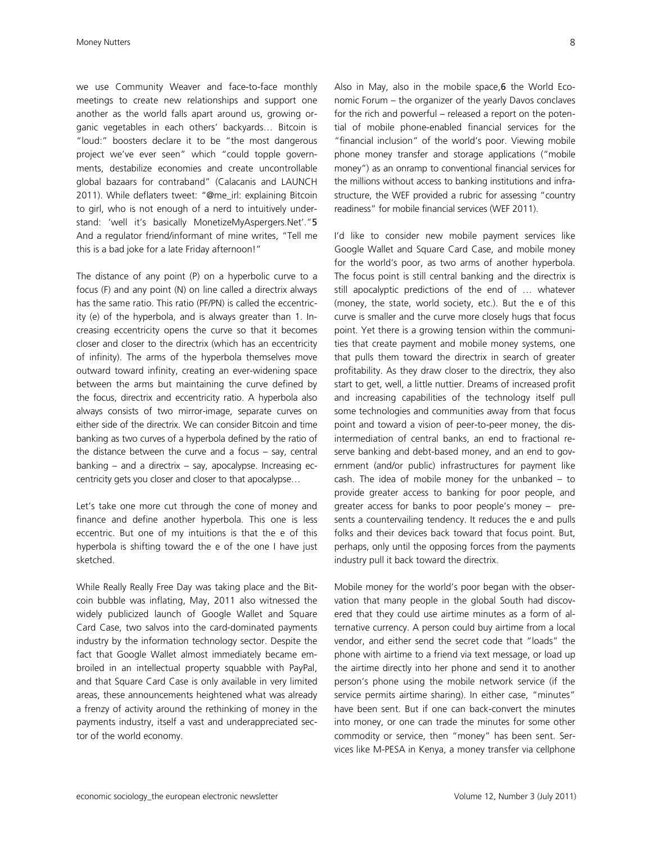we use Community Weaver and face-to-face monthly meetings to create new relationships and support one another as the world falls apart around us, growing organic vegetables in each others' backyards… Bitcoin is "loud:" boosters declare it to be "the most dangerous project we've ever seen" which "could topple governments, destabilize economies and create uncontrollable global bazaars for contraband" (Calacanis and LAUNCH 2011). While deflaters tweet: "@me\_irl: explaining Bitcoin to girl, who is not enough of a nerd to intuitively understand: 'well it's basically MonetizeMyAspergers.Net'."5 And a regulator friend/informant of mine writes, "Tell me this is a bad joke for a late Friday afternoon!"

The distance of any point (P) on a hyperbolic curve to a focus (F) and any point (N) on line called a directrix always has the same ratio. This ratio (PF/PN) is called the eccentricity (e) of the hyperbola, and is always greater than 1. Increasing eccentricity opens the curve so that it becomes closer and closer to the directrix (which has an eccentricity of infinity). The arms of the hyperbola themselves move outward toward infinity, creating an ever-widening space between the arms but maintaining the curve defined by the focus, directrix and eccentricity ratio. A hyperbola also always consists of two mirror-image, separate curves on either side of the directrix. We can consider Bitcoin and time banking as two curves of a hyperbola defined by the ratio of the distance between the curve and a focus – say, central banking – and a directrix – say, apocalypse. Increasing eccentricity gets you closer and closer to that apocalypse…

Let's take one more cut through the cone of money and finance and define another hyperbola. This one is less eccentric. But one of my intuitions is that the e of this hyperbola is shifting toward the e of the one I have just sketched.

While Really Really Free Day was taking place and the Bitcoin bubble was inflating, May, 2011 also witnessed the widely publicized launch of Google Wallet and Square Card Case, two salvos into the card-dominated payments industry by the information technology sector. Despite the fact that Google Wallet almost immediately became embroiled in an intellectual property squabble with PayPal, and that Square Card Case is only available in very limited areas, these announcements heightened what was already a frenzy of activity around the rethinking of money in the payments industry, itself a vast and underappreciated sector of the world economy.

Also in May, also in the mobile space, 6 the World Economic Forum – the organizer of the yearly Davos conclaves for the rich and powerful – released a report on the potential of mobile phone-enabled financial services for the "financial inclusion" of the world's poor. Viewing mobile phone money transfer and storage applications ("mobile money") as an onramp to conventional financial services for the millions without access to banking institutions and infrastructure, the WEF provided a rubric for assessing "country readiness" for mobile financial services (WEF 2011).

I'd like to consider new mobile payment services like Google Wallet and Square Card Case, and mobile money for the world's poor, as two arms of another hyperbola. The focus point is still central banking and the directrix is still apocalyptic predictions of the end of … whatever (money, the state, world society, etc.). But the e of this curve is smaller and the curve more closely hugs that focus point. Yet there is a growing tension within the communities that create payment and mobile money systems, one that pulls them toward the directrix in search of greater profitability. As they draw closer to the directrix, they also start to get, well, a little nuttier. Dreams of increased profit and increasing capabilities of the technology itself pull some technologies and communities away from that focus point and toward a vision of peer-to-peer money, the disintermediation of central banks, an end to fractional reserve banking and debt-based money, and an end to government (and/or public) infrastructures for payment like cash. The idea of mobile money for the unbanked – to provide greater access to banking for poor people, and greater access for banks to poor people's money – presents a countervailing tendency. It reduces the e and pulls folks and their devices back toward that focus point. But, perhaps, only until the opposing forces from the payments industry pull it back toward the directrix.

Mobile money for the world's poor began with the observation that many people in the global South had discovered that they could use airtime minutes as a form of alternative currency. A person could buy airtime from a local vendor, and either send the secret code that "loads" the phone with airtime to a friend via text message, or load up the airtime directly into her phone and send it to another person's phone using the mobile network service (if the service permits airtime sharing). In either case, "minutes" have been sent. But if one can back-convert the minutes into money, or one can trade the minutes for some other commodity or service, then "money" has been sent. Services like M-PESA in Kenya, a money transfer via cellphone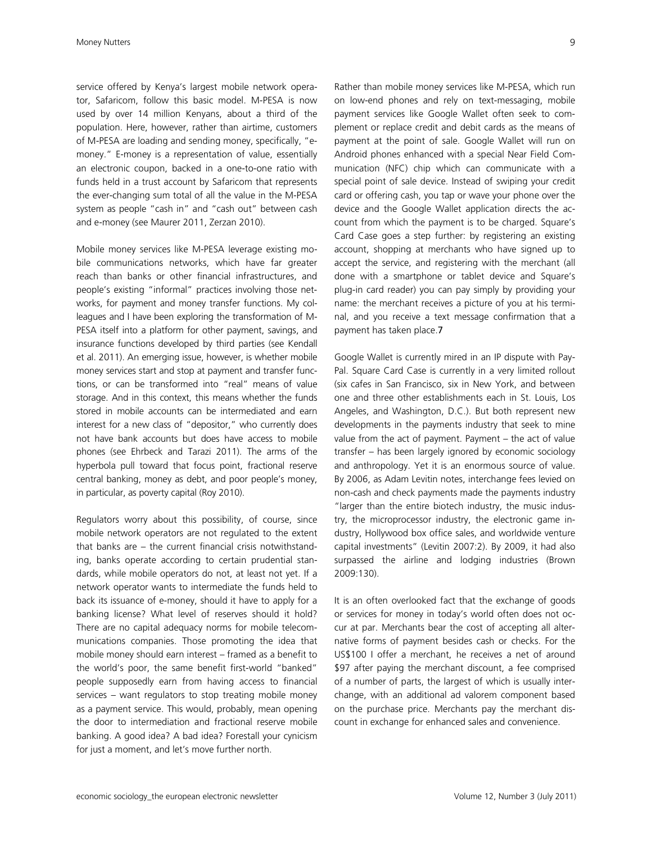service offered by Kenya's largest mobile network operator, Safaricom, follow this basic model. M-PESA is now used by over 14 million Kenyans, about a third of the population. Here, however, rather than airtime, customers of M-PESA are loading and sending money, specifically, "emoney." E-money is a representation of value, essentially an electronic coupon, backed in a one-to-one ratio with funds held in a trust account by Safaricom that represents the ever-changing sum total of all the value in the M-PESA system as people "cash in" and "cash out" between cash and e-money (see Maurer 2011, Zerzan 2010).

Mobile money services like M-PESA leverage existing mobile communications networks, which have far greater reach than banks or other financial infrastructures, and people's existing "informal" practices involving those networks, for payment and money transfer functions. My colleagues and I have been exploring the transformation of M-PESA itself into a platform for other payment, savings, and insurance functions developed by third parties (see Kendall et al. 2011). An emerging issue, however, is whether mobile money services start and stop at payment and transfer functions, or can be transformed into "real" means of value storage. And in this context, this means whether the funds stored in mobile accounts can be intermediated and earn interest for a new class of "depositor," who currently does not have bank accounts but does have access to mobile phones (see Ehrbeck and Tarazi 2011). The arms of the hyperbola pull toward that focus point, fractional reserve central banking, money as debt, and poor people's money, in particular, as poverty capital (Roy 2010).

Regulators worry about this possibility, of course, since mobile network operators are not regulated to the extent that banks are – the current financial crisis notwithstanding, banks operate according to certain prudential standards, while mobile operators do not, at least not yet. If a network operator wants to intermediate the funds held to back its issuance of e-money, should it have to apply for a banking license? What level of reserves should it hold? There are no capital adequacy norms for mobile telecommunications companies. Those promoting the idea that mobile money should earn interest – framed as a benefit to the world's poor, the same benefit first-world "banked" people supposedly earn from having access to financial services – want regulators to stop treating mobile money as a payment service. This would, probably, mean opening the door to intermediation and fractional reserve mobile banking. A good idea? A bad idea? Forestall your cynicism for just a moment, and let's move further north.

Rather than mobile money services like M-PESA, which run on low-end phones and rely on text-messaging, mobile payment services like Google Wallet often seek to complement or replace credit and debit cards as the means of payment at the point of sale. Google Wallet will run on Android phones enhanced with a special Near Field Communication (NFC) chip which can communicate with a special point of sale device. Instead of swiping your credit card or offering cash, you tap or wave your phone over the device and the Google Wallet application directs the account from which the payment is to be charged. Square's Card Case goes a step further: by registering an existing account, shopping at merchants who have signed up to accept the service, and registering with the merchant (all done with a smartphone or tablet device and Square's plug-in card reader) you can pay simply by providing your name: the merchant receives a picture of you at his terminal, and you receive a text message confirmation that a payment has taken place.7

Google Wallet is currently mired in an IP dispute with Pay-Pal. Square Card Case is currently in a very limited rollout (six cafes in San Francisco, six in New York, and between one and three other establishments each in St. Louis, Los Angeles, and Washington, D.C.). But both represent new developments in the payments industry that seek to mine value from the act of payment. Payment – the act of value transfer – has been largely ignored by economic sociology and anthropology. Yet it is an enormous source of value. By 2006, as Adam Levitin notes, interchange fees levied on non-cash and check payments made the payments industry "larger than the entire biotech industry, the music industry, the microprocessor industry, the electronic game industry, Hollywood box office sales, and worldwide venture capital investments" (Levitin 2007:2). By 2009, it had also surpassed the airline and lodging industries (Brown 2009:130).

It is an often overlooked fact that the exchange of goods or services for money in today's world often does not occur at par. Merchants bear the cost of accepting all alternative forms of payment besides cash or checks. For the US\$100 I offer a merchant, he receives a net of around \$97 after paying the merchant discount, a fee comprised of a number of parts, the largest of which is usually interchange, with an additional ad valorem component based on the purchase price. Merchants pay the merchant discount in exchange for enhanced sales and convenience.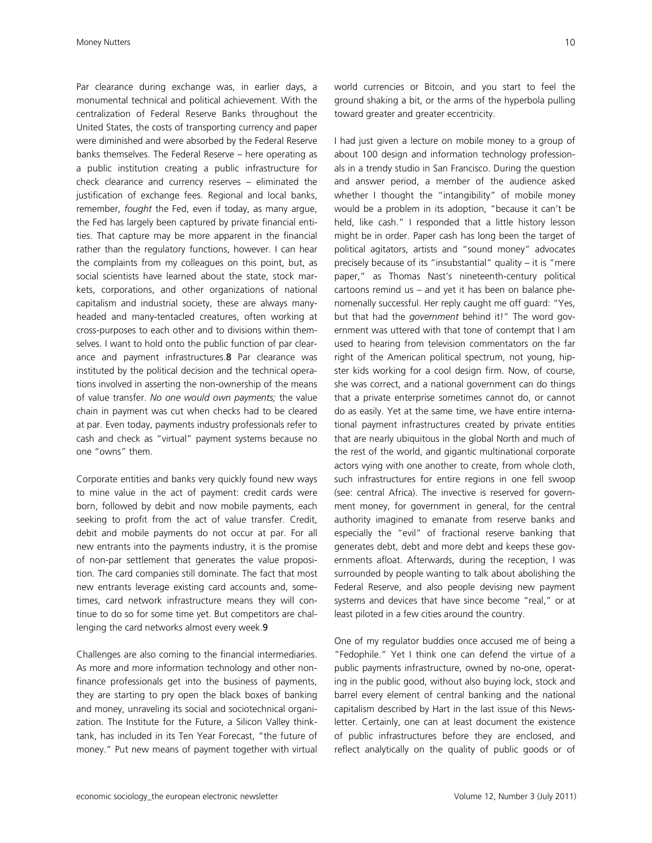Par clearance during exchange was, in earlier days, a monumental technical and political achievement. With the centralization of Federal Reserve Banks throughout the United States, the costs of transporting currency and paper were diminished and were absorbed by the Federal Reserve banks themselves. The Federal Reserve – here operating as a public institution creating a public infrastructure for check clearance and currency reserves – eliminated the justification of exchange fees. Regional and local banks, remember, *fought* the Fed, even if today, as many argue, the Fed has largely been captured by private financial entities. That capture may be more apparent in the financial rather than the regulatory functions, however. I can hear the complaints from my colleagues on this point, but, as social scientists have learned about the state, stock markets, corporations, and other organizations of national capitalism and industrial society, these are always manyheaded and many-tentacled creatures, often working at cross-purposes to each other and to divisions within themselves. I want to hold onto the public function of par clearance and payment infrastructures.8 Par clearance was instituted by the political decision and the technical operations involved in asserting the non-ownership of the means of value transfer. *No one would own payments;* the value chain in payment was cut when checks had to be cleared at par. Even today, payments industry professionals refer to cash and check as "virtual" payment systems because no one "owns" them.

Corporate entities and banks very quickly found new ways to mine value in the act of payment: credit cards were born, followed by debit and now mobile payments, each seeking to profit from the act of value transfer. Credit, debit and mobile payments do not occur at par. For all new entrants into the payments industry, it is the promise of non-par settlement that generates the value proposition. The card companies still dominate. The fact that most new entrants leverage existing card accounts and, sometimes, card network infrastructure means they will continue to do so for some time yet. But competitors are challenging the card networks almost every week.9

Challenges are also coming to the financial intermediaries. As more and more information technology and other nonfinance professionals get into the business of payments, they are starting to pry open the black boxes of banking and money, unraveling its social and sociotechnical organization. The Institute for the Future, a Silicon Valley thinktank, has included in its Ten Year Forecast, "the future of money." Put new means of payment together with virtual world currencies or Bitcoin, and you start to feel the ground shaking a bit, or the arms of the hyperbola pulling toward greater and greater eccentricity.

I had just given a lecture on mobile money to a group of about 100 design and information technology professionals in a trendy studio in San Francisco. During the question and answer period, a member of the audience asked whether I thought the "intangibility" of mobile money would be a problem in its adoption, "because it can't be held, like cash." I responded that a little history lesson might be in order. Paper cash has long been the target of political agitators, artists and "sound money" advocates precisely because of its "insubstantial" quality – it is "mere paper," as Thomas Nast's nineteenth-century political cartoons remind us – and yet it has been on balance phenomenally successful. Her reply caught me off guard: "Yes, but that had the *government* behind it!" The word government was uttered with that tone of contempt that I am used to hearing from television commentators on the far right of the American political spectrum, not young, hipster kids working for a cool design firm. Now, of course, she was correct, and a national government can do things that a private enterprise sometimes cannot do, or cannot do as easily. Yet at the same time, we have entire international payment infrastructures created by private entities that are nearly ubiquitous in the global North and much of the rest of the world, and gigantic multinational corporate actors vying with one another to create, from whole cloth, such infrastructures for entire regions in one fell swoop (see: central Africa). The invective is reserved for government money, for government in general, for the central authority imagined to emanate from reserve banks and especially the "evil" of fractional reserve banking that generates debt, debt and more debt and keeps these governments afloat. Afterwards, during the reception, I was surrounded by people wanting to talk about abolishing the Federal Reserve, and also people devising new payment systems and devices that have since become "real," or at least piloted in a few cities around the country.

One of my regulator buddies once accused me of being a "Fedophile." Yet I think one can defend the virtue of a public payments infrastructure, owned by no-one, operating in the public good, without also buying lock, stock and barrel every element of central banking and the national capitalism described by Hart in the last issue of this Newsletter. Certainly, one can at least document the existence of public infrastructures before they are enclosed, and reflect analytically on the quality of public goods or of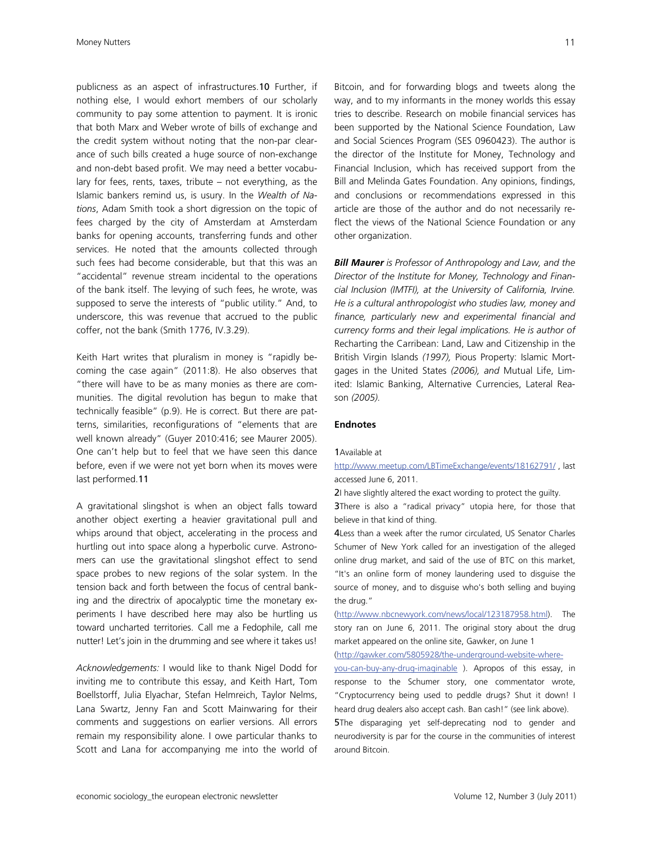publicness as an aspect of infrastructures.10 Further, if nothing else, I would exhort members of our scholarly community to pay some attention to payment. It is ironic that both Marx and Weber wrote of bills of exchange and the credit system without noting that the non-par clearance of such bills created a huge source of non-exchange and non-debt based profit. We may need a better vocabulary for fees, rents, taxes, tribute – not everything, as the Islamic bankers remind us, is usury. In the *Wealth of Nations*, Adam Smith took a short digression on the topic of fees charged by the city of Amsterdam at Amsterdam banks for opening accounts, transferring funds and other services. He noted that the amounts collected through such fees had become considerable, but that this was an "accidental" revenue stream incidental to the operations of the bank itself. The levying of such fees, he wrote, was supposed to serve the interests of "public utility." And, to underscore, this was revenue that accrued to the public coffer, not the bank (Smith 1776, IV.3.29).

Keith Hart writes that pluralism in money is "rapidly becoming the case again" (2011:8). He also observes that "there will have to be as many monies as there are communities. The digital revolution has begun to make that technically feasible" (p.9). He is correct. But there are patterns, similarities, reconfigurations of "elements that are well known already" (Guyer 2010:416; see Maurer 2005). One can't help but to feel that we have seen this dance before, even if we were not yet born when its moves were last performed.11

A gravitational slingshot is when an object falls toward another object exerting a heavier gravitational pull and whips around that object, accelerating in the process and hurtling out into space along a hyperbolic curve. Astronomers can use the gravitational slingshot effect to send space probes to new regions of the solar system. In the tension back and forth between the focus of central banking and the directrix of apocalyptic time the monetary experiments I have described here may also be hurtling us toward uncharted territories. Call me a Fedophile, call me nutter! Let's join in the drumming and see where it takes us!

*Acknowledgements:* I would like to thank Nigel Dodd for inviting me to contribute this essay, and Keith Hart, Tom Boellstorff, Julia Elyachar, Stefan Helmreich, Taylor Nelms, Lana Swartz, Jenny Fan and Scott Mainwaring for their comments and suggestions on earlier versions. All errors remain my responsibility alone. I owe particular thanks to Scott and Lana for accompanying me into the world of Bitcoin, and for forwarding blogs and tweets along the way, and to my informants in the money worlds this essay tries to describe. Research on mobile financial services has been supported by the National Science Foundation, Law and Social Sciences Program (SES 0960423). The author is the director of the Institute for Money, Technology and Financial Inclusion, which has received support from the Bill and Melinda Gates Foundation. Any opinions, findings, and conclusions or recommendations expressed in this article are those of the author and do not necessarily reflect the views of the National Science Foundation or any other organization.

*Bill Maurer is Professor of Anthropology and Law, and the Director of the Institute for Money, Technology and Financial Inclusion (IMTFI), at the University of California, Irvine. He is a cultural anthropologist who studies law, money and finance, particularly new and experimental financial and currency forms and their legal implications. He is author of*  Recharting the Carribean: Land, Law and Citizenship in the British Virgin Islands *(1997),* Pious Property: Islamic Mortgages in the United States *(2006), and* Mutual Life, Limited: Islamic Banking, Alternative Currencies, Lateral Reason *(2005).* 

## **Endnotes**

#### 1Available at

http://www.meetup.com/LBTimeExchange/events/18162791/ , last accessed June 6, 2011.

2I have slightly altered the exact wording to protect the guilty.

**3There** is also a "radical privacy" utopia here, for those that believe in that kind of thing.

4Less than a week after the rumor circulated, US Senator Charles Schumer of New York called for an investigation of the alleged online drug market, and said of the use of BTC on this market, "It's an online form of money laundering used to disguise the source of money, and to disguise who's both selling and buying the drug."

(http://www.nbcnewyork.com/news/local/123187958.html). The story ran on June 6, 2011. The original story about the drug market appeared on the online site, Gawker, on June 1

(http://gawker.com/5805928/the-underground-website-where-

you-can-buy-any-drug-imaginable ). Apropos of this essay, in response to the Schumer story, one commentator wrote, "Cryptocurrency being used to peddle drugs? Shut it down! I heard drug dealers also accept cash. Ban cash!" (see link above). 5The disparaging yet self-deprecating nod to gender and neurodiversity is par for the course in the communities of interest around Bitcoin.